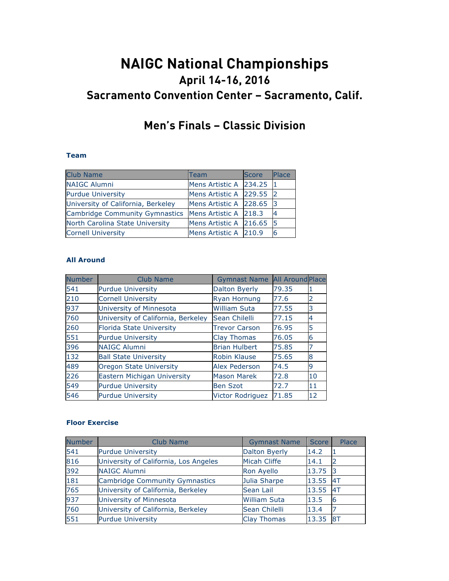# **NAIGC National Championships April 14-16, 2016 Sacramento Convention Center – Sacramento, Calif.**

## **Men's Finals – Classic Division**

#### **Team**

| <b>Club Name</b>                   | Team                     | <b>Score</b> | Place |
|------------------------------------|--------------------------|--------------|-------|
| <b>NAIGC Alumni</b>                | Mens Artistic A 234.25   |              | - 11  |
| <b>Purdue University</b>           | Mens Artistic A 229.55 2 |              |       |
| University of California, Berkeley | Mens Artistic A 228.65 3 |              |       |
| Cambridge Community Gymnastics     | Mens Artistic A 218.3    |              | 4     |
| North Carolina State University    | Mens Artistic A 216.65 5 |              |       |
| <b>Cornell University</b>          | Mens Artistic A 210.9    |              | 6     |

#### **All Around**

| <b>Number</b> | Club Name                          | <b>Gymnast Name</b>     | <b>All Around Place</b> |    |
|---------------|------------------------------------|-------------------------|-------------------------|----|
| 541           | <b>Purdue University</b>           | Dalton Byerly           | 79.35                   |    |
| 210           | <b>Cornell University</b>          | Ryan Hornung            | 77.6                    | 2  |
| 937           | University of Minnesota            | <b>William Suta</b>     | 77.55                   | 3  |
| 760           | University of California, Berkeley | Sean Chilelli           | 77.15                   | 4  |
| 260           | <b>Florida State University</b>    | <b>Trevor Carson</b>    | 76.95                   | 5  |
| 551           | <b>Purdue University</b>           | Clay Thomas             | 76.05                   | 6  |
| 396           | <b>NAIGC Alumni</b>                | <b>Brian Hulbert</b>    | 75.85                   |    |
| 132           | <b>Ball State University</b>       | Robin Klause            | 75.65                   | 8  |
| 489           | <b>Oregon State University</b>     | <b>Alex Pederson</b>    | 74.5                    | 9  |
| 226           | Eastern Michigan University        | <b>Mason Marek</b>      | 72.8                    | 10 |
| 549           | <b>Purdue University</b>           | <b>Ben Szot</b>         | 72.7                    | 11 |
| 546           | <b>Purdue University</b>           | <b>Victor Rodriguez</b> | 71.85                   | 12 |

#### **Floor Exercise**

| <b>Number</b> | Club Name                             | <b>Gymnast Name</b>  | <b>Score</b> | Place |
|---------------|---------------------------------------|----------------------|--------------|-------|
| 541           | <b>Purdue University</b>              | <b>Dalton Byerly</b> | 14.2         |       |
| 816           | University of California, Los Angeles | <b>Micah Cliffe</b>  | 14.1         |       |
| 392           | <b>NAIGC Alumni</b>                   | Ron Ayello           | 13.75        |       |
| 181           | <b>Cambridge Community Gymnastics</b> | Julia Sharpe         | 13.55        | 4T    |
| 765           | University of California, Berkeley    | Sean Lail            | 13.55        | 4T    |
| 937           | University of Minnesota               | <b>William Suta</b>  | 13.5         |       |
| 760           | University of California, Berkeley    | Sean Chilelli        | 13.4         |       |
| 551           | <b>Purdue University</b>              | <b>Clay Thomas</b>   | 13.35        | 8T    |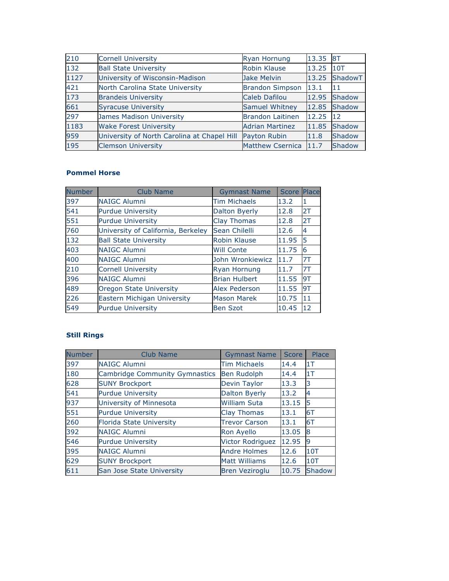| 210  | <b>Cornell University</b>                   | <b>Ryan Hornung</b>     | 13.35 | 8T      |
|------|---------------------------------------------|-------------------------|-------|---------|
| 132  | <b>Ball State University</b>                | Robin Klause            | 13.25 | 10T     |
| 1127 | University of Wisconsin-Madison             | Jake Melvin             | 13.25 | ShadowT |
| 421  | North Carolina State University             | <b>Brandon Simpson</b>  | 13.1  | 11      |
| 173  | <b>Brandeis University</b>                  | Caleb Dafilou           | 12.95 | Shadow  |
| 661  | <b>Syracuse University</b>                  | <b>Samuel Whitney</b>   | 12.85 | Shadow  |
| 297  | James Madison University                    | <b>Brandon Laitinen</b> | 12.25 | 12      |
| 1183 | <b>Wake Forest University</b>               | <b>Adrian Martinez</b>  | 11.85 | Shadow  |
| 959  | University of North Carolina at Chapel Hill | Payton Rubin            | 11.8  | Shadow  |
| 195  | <b>Clemson University</b>                   | <b>Matthew Csernica</b> | 11.7  | Shadow  |

#### **Pommel Horse**

| <b>Number</b> | Club Name                          | <b>Gymnast Name</b>  | <b>Score</b> | Place |
|---------------|------------------------------------|----------------------|--------------|-------|
| 397           | <b>NAIGC Alumni</b>                | <b>Tim Michaels</b>  | 13.2         | 1     |
| 541           | <b>Purdue University</b>           | Dalton Byerly        | 12.8         | 2T    |
| 551           | <b>Purdue University</b>           | <b>Clay Thomas</b>   | 12.8         | 2T    |
| 760           | University of California, Berkeley | Sean Chilelli        | 12.6         | 4     |
| 132           | <b>Ball State University</b>       | Robin Klause         | 11.95        | 5     |
| 403           | <b>NAIGC Alumni</b>                | <b>Will Conte</b>    | 11.75        | 6     |
| 400           | <b>NAIGC Alumni</b>                | John Wronkiewicz     | 11.7         | 7T    |
| 210           | <b>Cornell University</b>          | Ryan Hornung         | 11.7         | 7T    |
| 396           | <b>NAIGC Alumni</b>                | <b>Brian Hulbert</b> | 11.55        | 9T    |
| 489           | Oregon State University            | <b>Alex Pederson</b> | 11.55        | 9T    |
| 226           | Eastern Michigan University        | <b>Mason Marek</b>   | 10.75        | 11    |
| 549           | <b>Purdue University</b>           | <b>Ben Szot</b>      | 10.45        | 12    |

#### **Still Rings**

| <b>Number</b> | <b>Club Name</b>                      | <b>Gymnast Name</b>     | <b>Score</b> | Place          |
|---------------|---------------------------------------|-------------------------|--------------|----------------|
| 397           | <b>NAIGC Alumni</b>                   | <b>Tim Michaels</b>     | 14.4         | 1T             |
| 180           | <b>Cambridge Community Gymnastics</b> | <b>Ben Rudolph</b>      | 14.4         | 1T             |
| 628           | <b>SUNY Brockport</b>                 | Devin Taylor            | 13.3         | 3              |
| 541           | <b>Purdue University</b>              | <b>Dalton Byerly</b>    | 13.2         | $\overline{4}$ |
| 937           | University of Minnesota               | <b>William Suta</b>     | 13.15        | 5              |
| 551           | <b>Purdue University</b>              | <b>Clay Thomas</b>      | 13.1         | 6T             |
| 260           | <b>Florida State University</b>       | <b>Trevor Carson</b>    | 13.1         | 6T             |
| 392           | <b>NAIGC Alumni</b>                   | <b>Ron Ayello</b>       | 13.05        | 8              |
| 546           | <b>Purdue University</b>              | <b>Victor Rodriguez</b> | 12.95        | 19             |
| 395           | <b>NAIGC Alumni</b>                   | <b>Andre Holmes</b>     | 12.6         | 10T            |
| 629           | <b>SUNY Brockport</b>                 | <b>Matt Williams</b>    | 12.6         | 10T            |
| 611           | San Jose State University             | <b>Bren Veziroglu</b>   | 10.75        | Shadow         |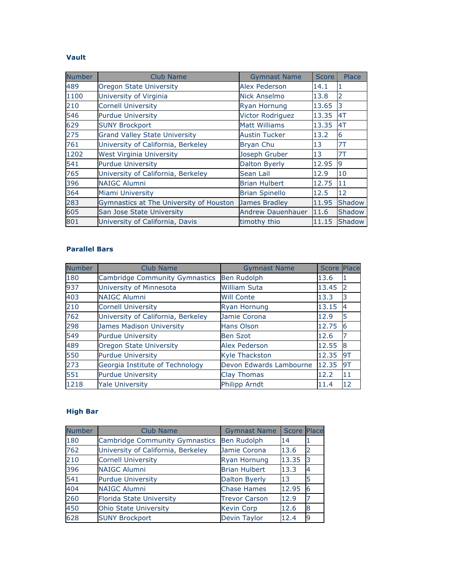#### **Vault**

| <b>Number</b> | <b>Club Name</b>                        | <b>Gymnast Name</b>      | <b>Score</b> | Place  |
|---------------|-----------------------------------------|--------------------------|--------------|--------|
| 489           | Oregon State University                 | <b>Alex Pederson</b>     | 14.1         | 1      |
| 1100          | University of Virginia                  | Nick Anselmo             | 13.8         | 2      |
| 210           | <b>Cornell University</b>               | <b>Ryan Hornung</b>      | 13.65        | 3      |
| 546           | <b>Purdue University</b>                | <b>Victor Rodriguez</b>  | 13.35        | 4T     |
| 629           | <b>SUNY Brockport</b>                   | <b>Matt Williams</b>     | 13.35        | 4T     |
| 275           | <b>Grand Valley State University</b>    | <b>Austin Tucker</b>     | 13.2         | 6      |
| 761           | University of California, Berkeley      | <b>Bryan Chu</b>         | 13           | 7T     |
| 1202          | <b>West Virginia University</b>         | Joseph Gruber            | 13           | 7T     |
| 541           | <b>Purdue University</b>                | Dalton Byerly            | 12.95        | 9      |
| 765           | University of California, Berkeley      | Sean Lail                | 12.9         | 10     |
| 396           | <b>NAIGC Alumni</b>                     | <b>Brian Hulbert</b>     | 12.75        | 11     |
| 364           | Miami University                        | <b>Brian Spinello</b>    | 12.5         | 12     |
| 283           | Gymnastics at The University of Houston | James Bradley            | 11.95        | Shadow |
| 605           | San Jose State University               | <b>Andrew Dauenhauer</b> | 11.6         | Shadow |
| 801           | University of California, Davis         | timothy thio             | 11.15        | Shadow |

#### **Parallel Bars**

| <b>Number</b> | Club Name                             | <b>Gymnast Name</b>     | <b>Score Place</b> |    |
|---------------|---------------------------------------|-------------------------|--------------------|----|
| 180           | <b>Cambridge Community Gymnastics</b> | <b>Ben Rudolph</b>      | 13.6               |    |
| 937           | University of Minnesota               | <b>William Suta</b>     | 13.45              |    |
| 403           | <b>NAIGC Alumni</b>                   | <b>Will Conte</b>       | 13.3               | 13 |
| 210           | <b>Cornell University</b>             | <b>Ryan Hornung</b>     | 13.15              | 14 |
| 762           | University of California, Berkeley    | Jamie Corona            | 12.9               | 5  |
| 298           | James Madison University              | <b>Hans Olson</b>       | 12.75              | 6  |
| 549           | <b>Purdue University</b>              | <b>Ben Szot</b>         | 12.6               |    |
| 489           | <b>Oregon State University</b>        | <b>Alex Pederson</b>    | 12.55              | 8  |
| 550           | <b>Purdue University</b>              | <b>Kyle Thackston</b>   | 12.35              | 9T |
| 273           | Georgia Institute of Technology       | Devon Edwards Lambourne | 12.35              | 9T |
| 551           | <b>Purdue University</b>              | <b>Clay Thomas</b>      | 12.2               | 11 |
| 1218          | <b>Yale University</b>                | <b>Philipp Arndt</b>    | 11.4               | 12 |

### **High Bar**

| <b>Number</b> | Club Name                          | <b>Gymnast Name</b>  | Score Place |                |
|---------------|------------------------------------|----------------------|-------------|----------------|
| 180           | Cambridge Community Gymnastics     | <b>Ben Rudolph</b>   | 14          |                |
| 762           | University of California, Berkeley | Jamie Corona         | 13.6        | 12             |
| 210           | <b>Cornell University</b>          | <b>Ryan Hornung</b>  | 13.35       | 13             |
| 396           | <b>NAIGC Alumni</b>                | <b>Brian Hulbert</b> | 13.3        | $\overline{4}$ |
| 541           | <b>Purdue University</b>           | <b>Dalton Byerly</b> | 13          | 5              |
| 404           | <b>NAIGC Alumni</b>                | <b>Chase Hames</b>   | 12.95       | 6              |
| 260           | <b>Florida State University</b>    | <b>Trevor Carson</b> | 12.9        |                |
| 450           | <b>Ohio State University</b>       | <b>Kevin Corp</b>    | 12.6        | 8              |
| 628           | <b>SUNY Brockport</b>              | Devin Taylor         | 12.4        | 9              |